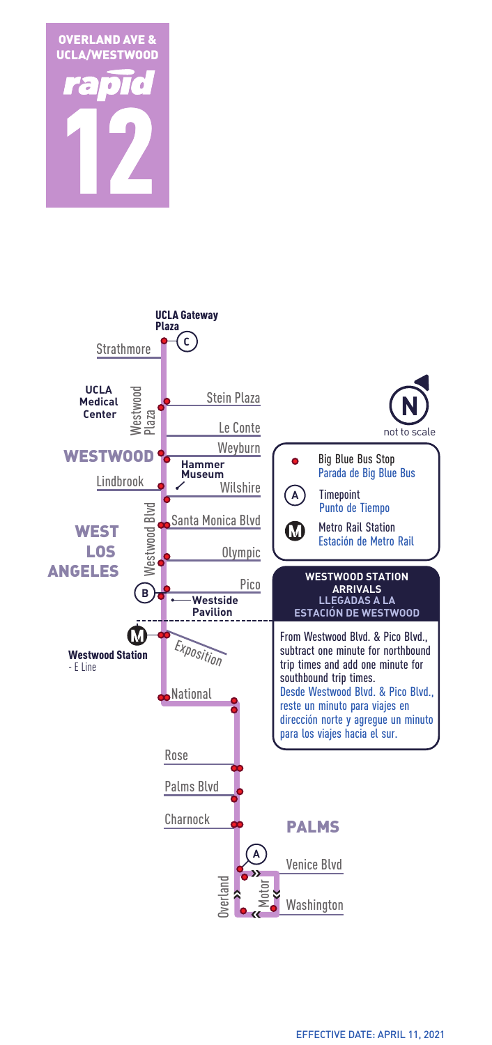

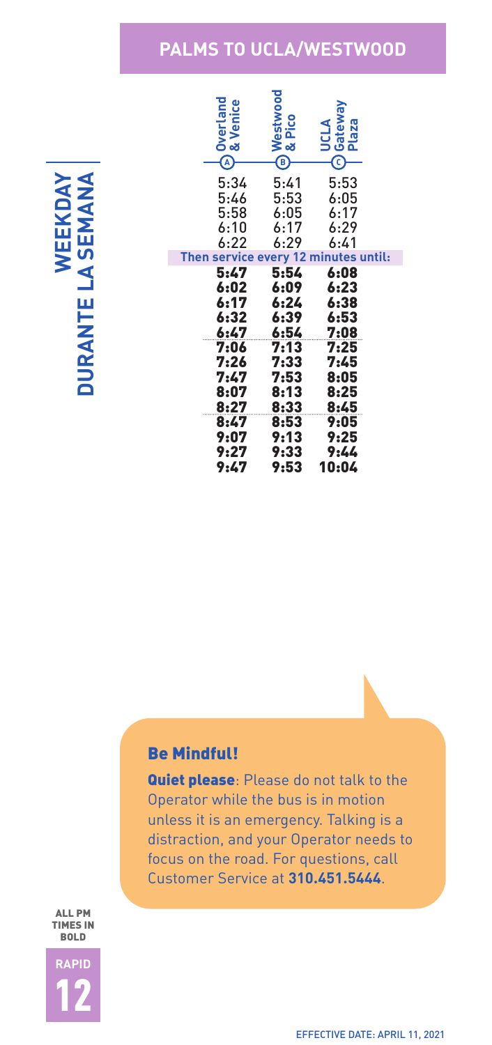### **PALMS TO UCLA/WESTWOOD**

MANA **WEEKDAY DURANTE LA SEMANA** WEEKDAY **DURANTE LA SEI** 

| Overland<br>& Venice<br>$\widehat{A}$ | Westwood<br>& Pico<br>, Pico<br>G | Gateway<br>Plaza<br>JCLA<br>$\bar{\mathfrak{c}}$ |  |
|---------------------------------------|-----------------------------------|--------------------------------------------------|--|
| 5:34<br>5:46                          | 5:41<br>5:53                      | 5:53<br>6:05                                     |  |
| 5:58                                  | 6:05                              | 6:17                                             |  |
| 6:10                                  | 6:17                              | 6:29                                             |  |
| 6:22                                  | 6:29                              | 6:41                                             |  |
| Then service every 12 minutes until:  |                                   |                                                  |  |
| 5:47                                  | 5:54                              | 6:08                                             |  |
| 6:02<br>6:17<br>6:32                  | 6:09<br>6:24<br>6:39              | 6:23<br>6:38<br>6:53                             |  |
| 6:47<br>7:06                          | 6:54<br>7:13                      | 7:08<br>7:25                                     |  |
| 7:26                                  | 7:33                              | 7:45                                             |  |
| 7:47                                  | 7:53                              | 8:05                                             |  |
| 8:07                                  | 8:13                              | 8:25                                             |  |
| 8:27<br>8:47                          | 8:33<br>8:53                      | 8:45<br>9:05                                     |  |
| 9:07                                  | 9:13                              | 9:25                                             |  |
| 9:27<br>9:47                          | 9:33<br>9:53                      | 9:44<br>10:04                                    |  |

#### Be Mindful!

**Quiet please:** Please do not talk to the Operator while the bus is in motion unless it is an emergency. Talking is a distraction, and your Operator needs to focus on the road. For questions, call Customer Service at **310.451.5444**.

ALL PM TIMES IN BOLD

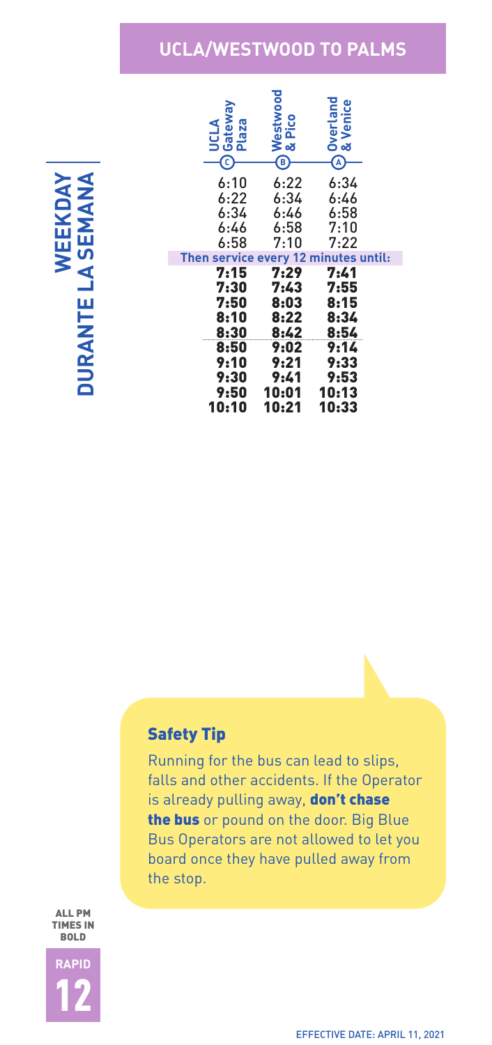## **UCLA/WESTWOOD TO PALMS**

KDAY MANA **WEEKDAY DURANTE LA SEMANA** WEEK **DURANTE LA SEI** 

| Gateway<br>ω<br>UCLA<br>Plaza                | Westwood<br>& Pico<br>ි | <b>Overland<br/>&amp; Venice</b><br>A |  |
|----------------------------------------------|-------------------------|---------------------------------------|--|
| 6:10                                         | 6:22                    | 6:34                                  |  |
| 6:22                                         | 6:34                    | 6:46                                  |  |
| 6:34                                         | 6:46                    | 6:58                                  |  |
| 6:46                                         | 6:58                    | 7:10                                  |  |
| 6:58                                         | 7:10                    | 7:22                                  |  |
|                                              |                         |                                       |  |
|                                              |                         |                                       |  |
| Then service every 12 minutes until:<br>7:15 | 7:29                    | 7:41                                  |  |
| 7:30                                         | 7:43                    | 7:55                                  |  |
| 7:50                                         | 8:03                    | 8:15                                  |  |
| 8:10                                         | 8:22                    | 8:34                                  |  |
| 8:30                                         | 8:42                    | 8:54                                  |  |
| 8:50                                         | 9:02                    | 9:14                                  |  |
| 9:10                                         | 9:21                    | 9:33                                  |  |
| 9:30                                         | 9:41                    | 9:53                                  |  |
| 9:50<br>10:10                                | 10:01<br>10:21          | 10:13<br>10:33                        |  |

#### Safety Tip

Running for the bus can lead to slips, falls and other accidents. If the Operator is already pulling away, don't chase the bus or pound on the door. Big Blue Bus Operators are not allowed to let you board once they have pulled away from the stop.

ALL PM TIMES IN BOLD

**RAPID** 12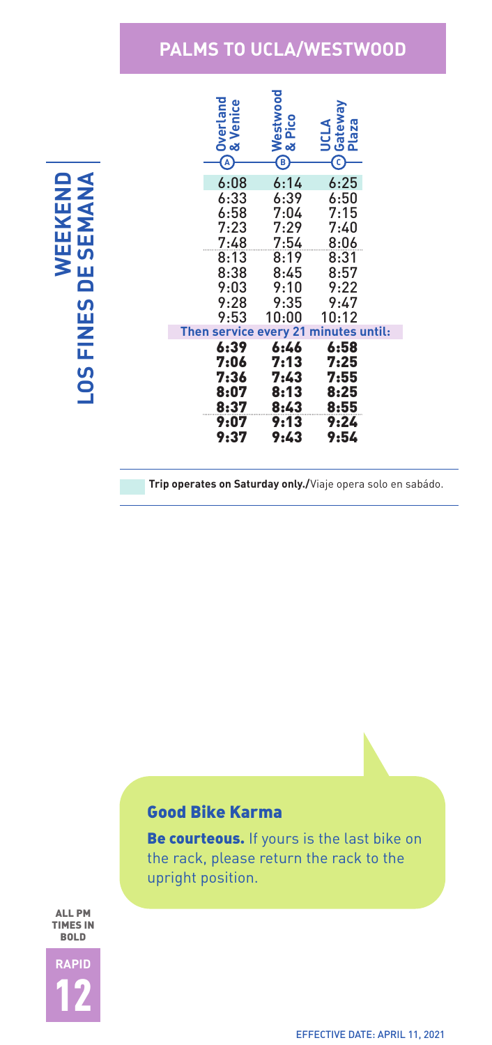# **PALMS TO UCLA/WESTWOOD**

**WEEKEND LOS FINES DE SEMANA LOS FINES DE SEI** 

| <b>Overland</b><br><b>Venice</b><br>œ | Westwood<br>& Pico<br>B) | Gatew<br>Plaza<br><b>ALIST</b> |  |
|---------------------------------------|--------------------------|--------------------------------|--|
| 6:08                                  | 6:14                     | 6:25                           |  |
| 6:33                                  | 6:39                     | 6:50                           |  |
| 6:58                                  | 7:04                     | 7:15                           |  |
| 7:23                                  | 7:29                     | 7:40                           |  |
| 7:48                                  | 7:54                     | 8:06                           |  |
| 8:13<br>8:38                          | 8:19<br>8:45             | 8:31<br>8:57                   |  |
| 9:03                                  | 9:10                     | 9:22                           |  |
| 9:28                                  | 9:35                     | 9:47                           |  |
| 9:53                                  | 10:00                    | 10:12                          |  |
| Then service every 21 minutes until:  |                          |                                |  |
| 6:39                                  | 6:46                     | 6:58                           |  |
| 7:06                                  | 7:13                     | 7:25                           |  |
| 7:36<br>8:07                          | 7:43<br>8:13             | 7:55<br>8:25                   |  |
| 8:37                                  | 8:43                     | 8:55                           |  |
| 9:07                                  | 9:13                     | 9:24                           |  |
| 9:37                                  | 9:43                     | 9:54                           |  |

**Trip operates on Saturday only./**Viaje opera solo en sabádo.

### Good Bike Karma

Be courteous. If yours is the last bike on the rack, please return the rack to the upright position.

ALL PM TIMES IN BOLD

**RAPID** 12